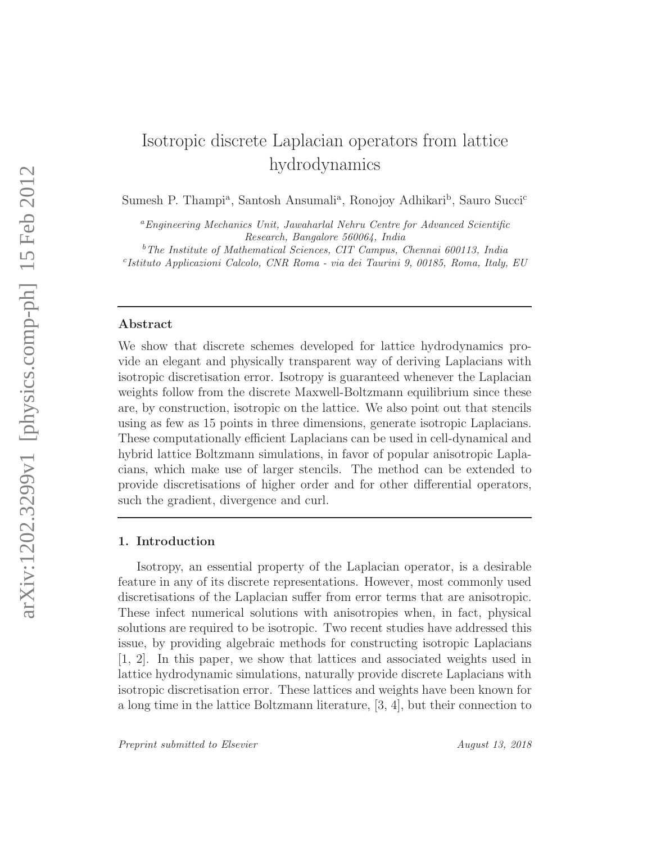# Isotropic discrete Laplacian operators from lattice hydrodynamics

Sumesh P. Thampi<sup>a</sup>, Santosh Ansumali<sup>a</sup>, Ronojoy Adhikari<sup>b</sup>, Sauro Succi<sup>c</sup>

<sup>a</sup>Engineering Mechanics Unit, Jawaharlal Nehru Centre for Advanced Scientific Research, Bangalore 560064, India

 $b$ The Institute of Mathematical Sciences, CIT Campus, Chennai 600113, India c Istituto Applicazioni Calcolo, CNR Roma - via dei Taurini 9, 00185, Roma, Italy, EU

# Abstract

We show that discrete schemes developed for lattice hydrodynamics provide an elegant and physically transparent way of deriving Laplacians with isotropic discretisation error. Isotropy is guaranteed whenever the Laplacian weights follow from the discrete Maxwell-Boltzmann equilibrium since these are, by construction, isotropic on the lattice. We also point out that stencils using as few as 15 points in three dimensions, generate isotropic Laplacians. These computationally efficient Laplacians can be used in cell-dynamical and hybrid lattice Boltzmann simulations, in favor of popular anisotropic Laplacians, which make use of larger stencils. The method can be extended to provide discretisations of higher order and for other differential operators, such the gradient, divergence and curl.

#### 1. Introduction

Isotropy, an essential property of the Laplacian operator, is a desirable feature in any of its discrete representations. However, most commonly used discretisations of the Laplacian suffer from error terms that are anisotropic. These infect numerical solutions with anisotropies when, in fact, physical solutions are required to be isotropic. Two recent studies have addressed this issue, by providing algebraic methods for constructing isotropic Laplacians [1, 2]. In this paper, we show that lattices and associated weights used in lattice hydrodynamic simulations, naturally provide discrete Laplacians with isotropic discretisation error. These lattices and weights have been known for a long time in the lattice Boltzmann literature, [3, 4], but their connection to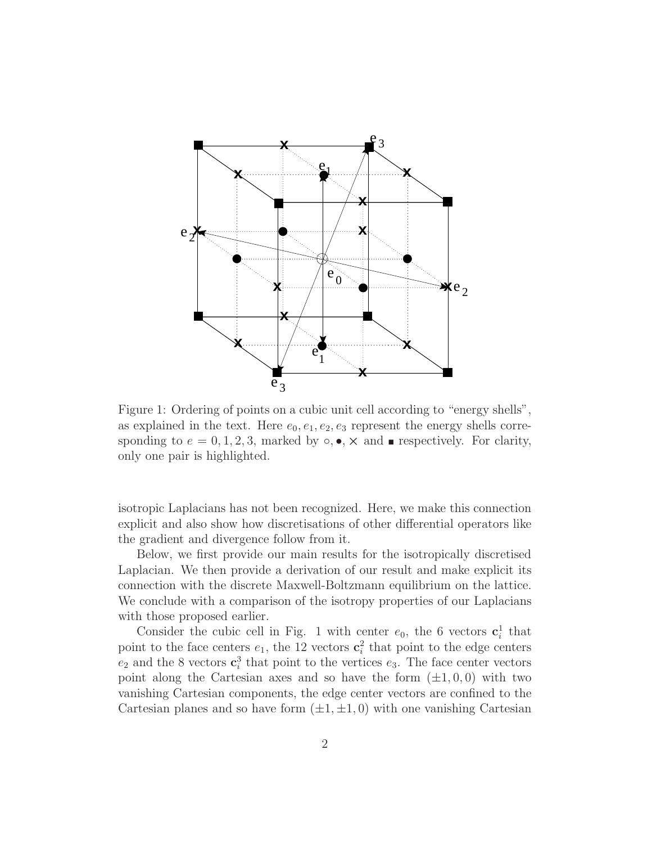

Figure 1: Ordering of points on a cubic unit cell according to "energy shells", as explained in the text. Here  $e_0, e_1, e_2, e_3$  represent the energy shells corresponding to  $e = 0, 1, 2, 3$ , marked by  $\circ, \bullet, \times$  and nespectively. For clarity, only one pair is highlighted.

isotropic Laplacians has not been recognized. Here, we make this connection explicit and also show how discretisations of other differential operators like the gradient and divergence follow from it.

Below, we first provide our main results for the isotropically discretised Laplacian. We then provide a derivation of our result and make explicit its connection with the discrete Maxwell-Boltzmann equilibrium on the lattice. We conclude with a comparison of the isotropy properties of our Laplacians with those proposed earlier.

Consider the cubic cell in Fig. 1 with center  $e_0$ , the 6 vectors  $\mathbf{c}_i^1$  that point to the face centers  $e_1$ , the 12 vectors  $\mathbf{c}_i^2$  that point to the edge centers  $e_2$  and the 8 vectors  $\mathbf{c}_i^3$  that point to the vertices  $e_3$ . The face center vectors point along the Cartesian axes and so have the form  $(\pm 1, 0, 0)$  with two vanishing Cartesian components, the edge center vectors are confined to the Cartesian planes and so have form  $(\pm 1, \pm 1, 0)$  with one vanishing Cartesian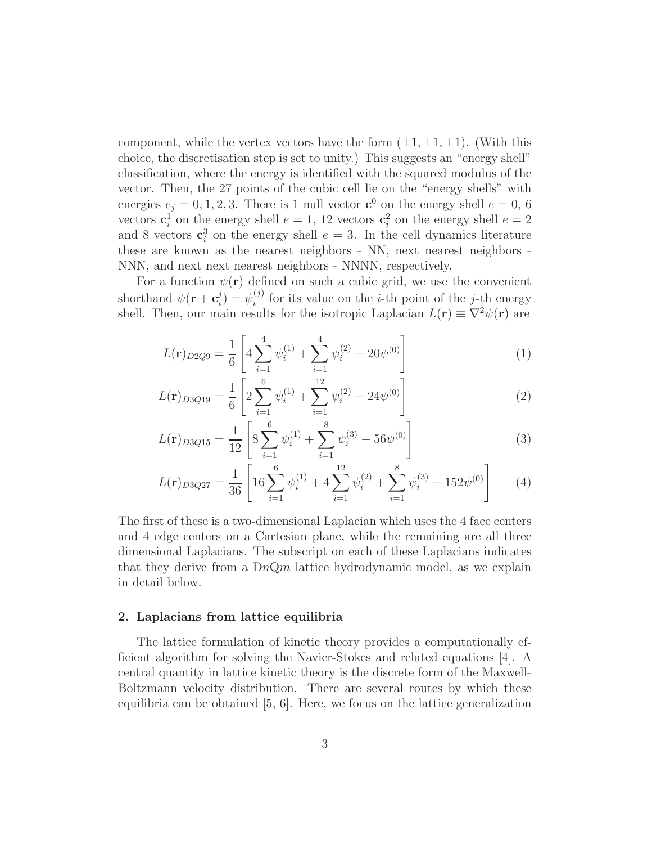component, while the vertex vectors have the form  $(\pm 1, \pm 1, \pm 1)$ . (With this choice, the discretisation step is set to unity.) This suggests an "energy shell" classification, where the energy is identified with the squared modulus of the vector. Then, the 27 points of the cubic cell lie on the "energy shells" with energies  $e_j = 0, 1, 2, 3$ . There is 1 null vector  $\mathbf{c}^0$  on the energy shell  $e = 0, 6$ vectors  $\mathbf{c}_i^1$  on the energy shell  $e = 1, 12$  vectors  $\mathbf{c}_i^2$  on the energy shell  $e = 2$ and 8 vectors  $\mathbf{c}_i^3$  on the energy shell  $e = 3$ . In the cell dynamics literature these are known as the nearest neighbors - NN, next nearest neighbors - NNN, and next next nearest neighbors - NNNN, respectively.

For a function  $\psi(\mathbf{r})$  defined on such a cubic grid, we use the convenient shorthand  $\psi(\mathbf{r}+\mathbf{c}_i^j)$  $\psi_i^{(j)} = \psi_i^{(j)}$  $i^{(j)}$  for its value on the *i*-th point of the *j*-th energy shell. Then, our main results for the isotropic Laplacian  $L(\mathbf{r}) \equiv \nabla^2 \psi(\mathbf{r})$  are

$$
L(\mathbf{r})_{D2Q9} = \frac{1}{6} \left[ 4 \sum_{i=1}^{4} \psi_i^{(1)} + \sum_{i=1}^{4} \psi_i^{(2)} - 20 \psi^{(0)} \right]
$$
 (1)

$$
L(\mathbf{r})_{D3Q19} = \frac{1}{6} \left[ 2 \sum_{i=1}^{6} \psi_i^{(1)} + \sum_{i=1}^{12} \psi_i^{(2)} - 24 \psi^{(0)} \right]
$$
(2)

$$
L(\mathbf{r})_{D3Q15} = \frac{1}{12} \left[ 8 \sum_{i=1}^{6} \psi_i^{(1)} + \sum_{i=1}^{8} \psi_i^{(3)} - 56 \psi^{(0)} \right]
$$
 (3)

$$
L(\mathbf{r})_{D3Q27} = \frac{1}{36} \left[ 16 \sum_{i=1}^{6} \psi_i^{(1)} + 4 \sum_{i=1}^{12} \psi_i^{(2)} + \sum_{i=1}^{8} \psi_i^{(3)} - 152 \psi^{(0)} \right] \tag{4}
$$

The first of these is a two-dimensional Laplacian which uses the 4 face centers and 4 edge centers on a Cartesian plane, while the remaining are all three dimensional Laplacians. The subscript on each of these Laplacians indicates that they derive from a  $DnQm$  lattice hydrodynamic model, as we explain in detail below.

## 2. Laplacians from lattice equilibria

The lattice formulation of kinetic theory provides a computationally efficient algorithm for solving the Navier-Stokes and related equations [4]. A central quantity in lattice kinetic theory is the discrete form of the Maxwell-Boltzmann velocity distribution. There are several routes by which these equilibria can be obtained [5, 6]. Here, we focus on the lattice generalization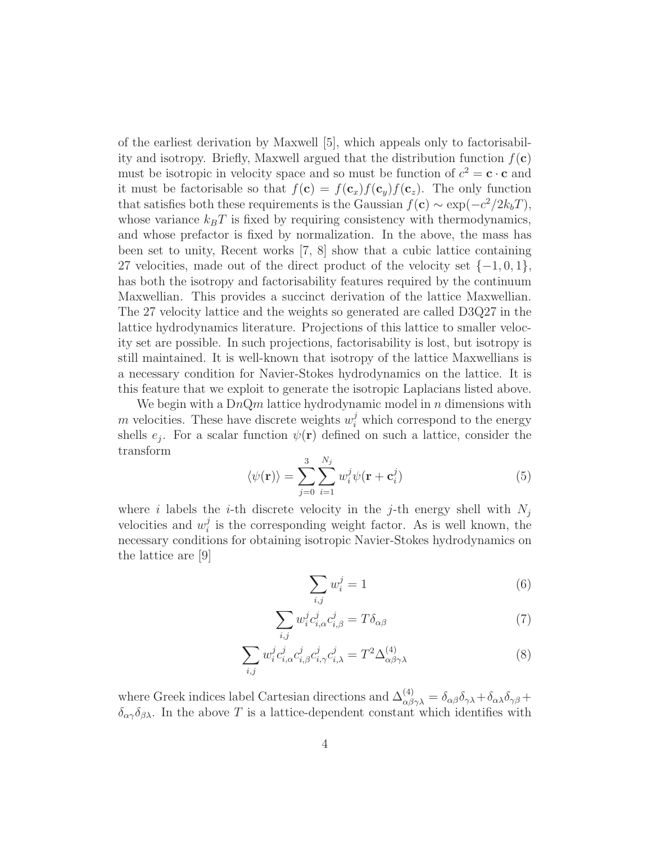of the earliest derivation by Maxwell [5], which appeals only to factorisability and isotropy. Briefly, Maxwell argued that the distribution function  $f(c)$ must be isotropic in velocity space and so must be function of  $c^2 = \mathbf{c} \cdot \mathbf{c}$  and it must be factorisable so that  $f(c) = f(c_x)f(c_y)f(c_z)$ . The only function that satisfies both these requirements is the Gaussian  $f(c) \sim \exp(-c^2/2k_bT)$ , whose variance  $k_BT$  is fixed by requiring consistency with thermodynamics, and whose prefactor is fixed by normalization. In the above, the mass has been set to unity, Recent works [7, 8] show that a cubic lattice containing 27 velocities, made out of the direct product of the velocity set  $\{-1,0,1\}$ , has both the isotropy and factorisability features required by the continuum Maxwellian. This provides a succinct derivation of the lattice Maxwellian. The 27 velocity lattice and the weights so generated are called D3Q27 in the lattice hydrodynamics literature. Projections of this lattice to smaller velocity set are possible. In such projections, factorisability is lost, but isotropy is still maintained. It is well-known that isotropy of the lattice Maxwellians is a necessary condition for Navier-Stokes hydrodynamics on the lattice. It is this feature that we exploit to generate the isotropic Laplacians listed above.

We begin with a  $DnQm$  lattice hydrodynamic model in n dimensions with m velocities. These have discrete weights  $w_i^j$  which correspond to the energy shells  $e_j$ . For a scalar function  $\psi(\mathbf{r})$  defined on such a lattice, consider the transform

$$
\langle \psi(\mathbf{r}) \rangle = \sum_{j=0}^{3} \sum_{i=1}^{N_j} w_i^j \psi(\mathbf{r} + \mathbf{c}_i^j)
$$
 (5)

where i labels the *i*-th discrete velocity in the *j*-th energy shell with  $N_j$ velocities and  $w_i^j$  $i$  is the corresponding weight factor. As is well known, the necessary conditions for obtaining isotropic Navier-Stokes hydrodynamics on the lattice are [9]

$$
\sum_{i,j} w_i^j = 1 \tag{6}
$$

$$
\sum_{i,j} w_i^j c_{i,\alpha}^j c_{i,\beta}^j = T \delta_{\alpha\beta} \tag{7}
$$

$$
\sum_{i,j} w_i^j c_{i,\alpha}^j c_{i,\beta}^j c_{i,\gamma}^j c_{i,\lambda}^j = T^2 \Delta_{\alpha\beta\gamma\lambda}^{(4)}
$$
 (8)

where Greek indices label Cartesian directions and  $\Delta_{\alpha\beta\gamma\lambda}^{(4)} = \delta_{\alpha\beta}\delta_{\gamma\lambda} + \delta_{\alpha\lambda}\delta_{\gamma\beta} +$  $\delta_{\alpha\gamma}\delta_{\beta\lambda}$ . In the above T is a lattice-dependent constant which identifies with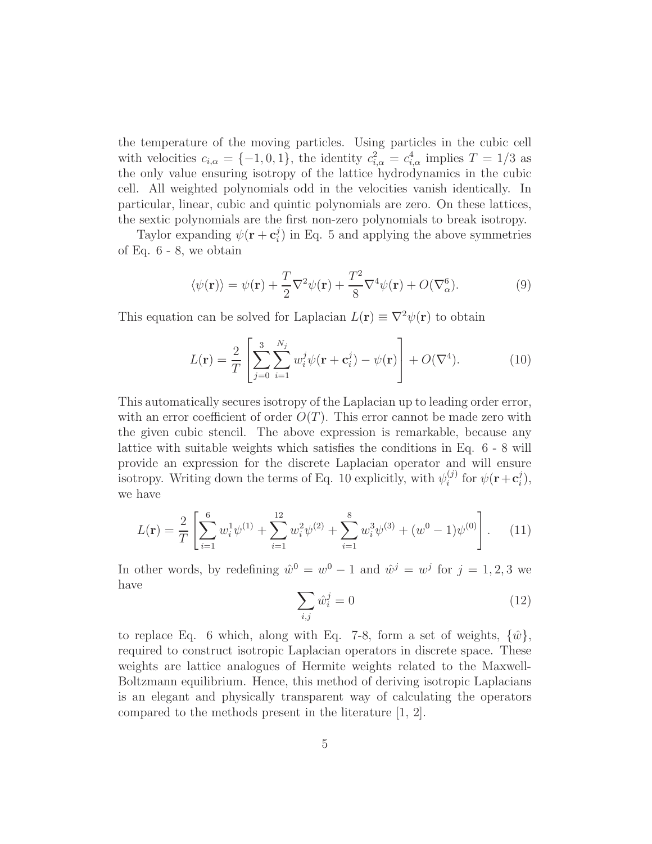the temperature of the moving particles. Using particles in the cubic cell with velocities  $c_{i,\alpha} = \{-1,0,1\}$ , the identity  $c_{i,\alpha}^2 = c_{i,\alpha}^4$  implies  $T = 1/3$  as the only value ensuring isotropy of the lattice hydrodynamics in the cubic cell. All weighted polynomials odd in the velocities vanish identically. In particular, linear, cubic and quintic polynomials are zero. On these lattices, the sextic polynomials are the first non-zero polynomials to break isotropy.

Taylor expanding  $\psi(\mathbf{r}+\mathbf{c}_i^j)$  $\binom{3}{i}$  in Eq. 5 and applying the above symmetries of Eq. 6 - 8, we obtain

$$
\langle \psi(\mathbf{r}) \rangle = \psi(\mathbf{r}) + \frac{T}{2} \nabla^2 \psi(\mathbf{r}) + \frac{T^2}{8} \nabla^4 \psi(\mathbf{r}) + O(\nabla_\alpha^6).
$$
 (9)

This equation can be solved for Laplacian  $L(\mathbf{r}) \equiv \nabla^2 \psi(\mathbf{r})$  to obtain

$$
L(\mathbf{r}) = \frac{2}{T} \left[ \sum_{j=0}^{3} \sum_{i=1}^{N_j} w_i^j \psi(\mathbf{r} + \mathbf{c}_i^j) - \psi(\mathbf{r}) \right] + O(\nabla^4). \tag{10}
$$

This automatically secures isotropy of the Laplacian up to leading order error, with an error coefficient of order  $O(T)$ . This error cannot be made zero with the given cubic stencil. The above expression is remarkable, because any lattice with suitable weights which satisfies the conditions in Eq. 6 - 8 will provide an expression for the discrete Laplacian operator and will ensure isotropy. Writing down the terms of Eq. 10 explicitly, with  $\psi_i^{(j)}$  $i^{(j)}$  for  $\psi(\mathbf{r}+\mathbf{c}_i^j)$  $_{i}^{j}),$ we have

$$
L(\mathbf{r}) = \frac{2}{T} \left[ \sum_{i=1}^{6} w_i^1 \psi^{(1)} + \sum_{i=1}^{12} w_i^2 \psi^{(2)} + \sum_{i=1}^{8} w_i^3 \psi^{(3)} + (w^0 - 1) \psi^{(0)} \right]. \tag{11}
$$

In other words, by redefining  $\hat{w}^0 = w^0 - 1$  and  $\hat{w}^j = w^j$  for  $j = 1, 2, 3$  we have

$$
\sum_{i,j} \hat{w}_i^j = 0 \tag{12}
$$

to replace Eq. 6 which, along with Eq. 7-8, form a set of weights,  $\{\hat{w}\},\$ required to construct isotropic Laplacian operators in discrete space. These weights are lattice analogues of Hermite weights related to the Maxwell-Boltzmann equilibrium. Hence, this method of deriving isotropic Laplacians is an elegant and physically transparent way of calculating the operators compared to the methods present in the literature [1, 2].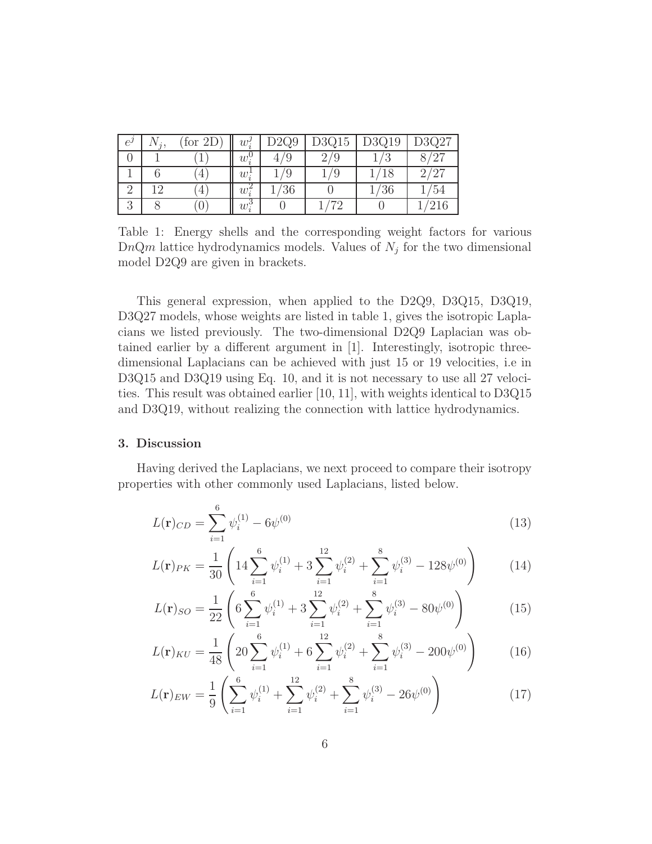| $e^{\prime}$ | for<br>2D | $w_i'$               | 22Q9 | D3Q15 | $\text{O}3\text{Q}19$ | D3Q27           |
|--------------|-----------|----------------------|------|-------|-----------------------|-----------------|
|              |           | $w_i^{\mathfrak{c}}$ |      |       |                       | 197             |
|              | 4         | $w_i^{\star}$        | ν    |       | 18                    | 19 <sup>6</sup> |
|              | 4         | $w_i^2$              | '36  |       | ′36                   | '54             |
|              | U         | $w_i^{\rm o}$        |      |       |                       | 216             |

Table 1: Energy shells and the corresponding weight factors for various  $DnQm$  lattice hydrodynamics models. Values of  $N_j$  for the two dimensional model D2Q9 are given in brackets.

This general expression, when applied to the D2Q9, D3Q15, D3Q19, D3Q27 models, whose weights are listed in table 1, gives the isotropic Laplacians we listed previously. The two-dimensional D2Q9 Laplacian was obtained earlier by a different argument in [1]. Interestingly, isotropic threedimensional Laplacians can be achieved with just 15 or 19 velocities, i.e in D3Q15 and D3Q19 using Eq. 10, and it is not necessary to use all 27 velocities. This result was obtained earlier [10, 11], with weights identical to D3Q15 and D3Q19, without realizing the connection with lattice hydrodynamics.

#### 3. Discussion

Having derived the Laplacians, we next proceed to compare their isotropy properties with other commonly used Laplacians, listed below.

$$
L(\mathbf{r})_{CD} = \sum_{i=1}^{6} \psi_i^{(1)} - 6\psi^{(0)}
$$
\n(13)

$$
L(\mathbf{r})_{PK} = \frac{1}{30} \left( 14 \sum_{i=1}^{6} \psi_i^{(1)} + 3 \sum_{i=1}^{12} \psi_i^{(2)} + \sum_{i=1}^{8} \psi_i^{(3)} - 128 \psi^{(0)} \right) \tag{14}
$$

$$
L(\mathbf{r})_{SO} = \frac{1}{22} \left( 6 \sum_{i=1}^{6} \psi_i^{(1)} + 3 \sum_{i=1}^{12} \psi_i^{(2)} + \sum_{i=1}^{8} \psi_i^{(3)} - 80 \psi^{(0)} \right)
$$
(15)

$$
L(\mathbf{r})_{KU} = \frac{1}{48} \left( 20 \sum_{i=1}^{6} \psi_i^{(1)} + 6 \sum_{i=1}^{12} \psi_i^{(2)} + \sum_{i=1}^{8} \psi_i^{(3)} - 200 \psi^{(0)} \right)
$$
(16)

$$
L(\mathbf{r})_{EW} = \frac{1}{9} \left( \sum_{i=1}^{6} \psi_i^{(1)} + \sum_{i=1}^{12} \psi_i^{(2)} + \sum_{i=1}^{8} \psi_i^{(3)} - 26\psi^{(0)} \right)
$$
(17)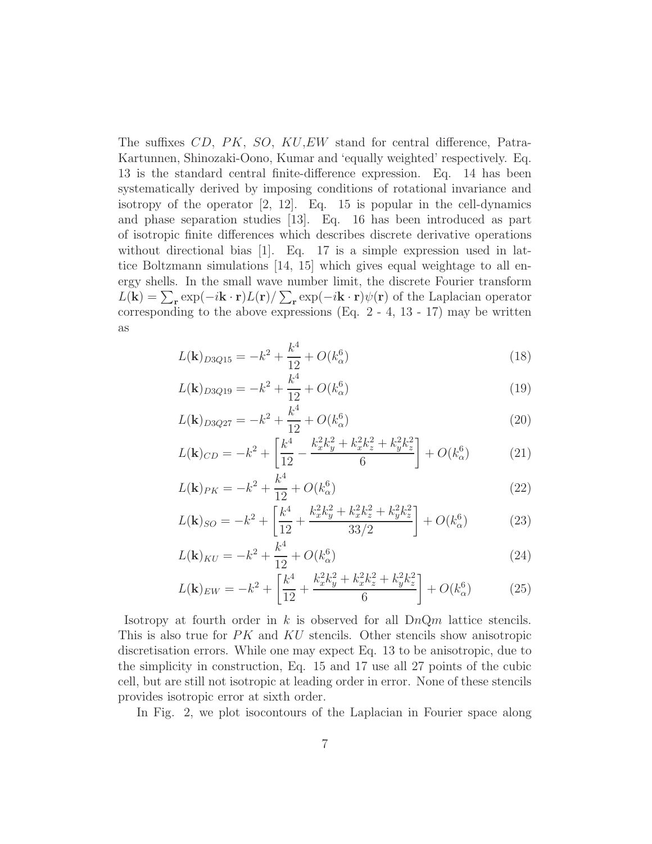The suffixes  $CD$ ,  $PK$ ,  $SO$ ,  $KU$ ,  $EW$  stand for central difference, Patra-Kartunnen, Shinozaki-Oono, Kumar and 'equally weighted' respectively. Eq. 13 is the standard central finite-difference expression. Eq. 14 has been systematically derived by imposing conditions of rotational invariance and isotropy of the operator [2, 12]. Eq. 15 is popular in the cell-dynamics and phase separation studies [13]. Eq. 16 has been introduced as part of isotropic finite differences which describes discrete derivative operations without directional bias [1]. Eq. 17 is a simple expression used in lattice Boltzmann simulations [14, 15] which gives equal weightage to all energy shells. In the small wave number limit, the discrete Fourier transform  $L(\mathbf{k}) = \sum_{\mathbf{r}} \exp(-i\mathbf{k} \cdot \mathbf{r}) L(\mathbf{r}) / \sum_{\mathbf{r}} \exp(-i\mathbf{k} \cdot \mathbf{r}) \psi(\mathbf{r})$  of the Laplacian operator corresponding to the above expressions (Eq.  $2 - 4$ , 13 - 17) may be written as

$$
L(\mathbf{k})_{D3Q15} = -k^2 + \frac{k^4}{12} + O(k_\alpha^6)
$$
\n(18)

$$
L(\mathbf{k})_{D3Q19} = -k^2 + \frac{k^4}{12} + O(k_\alpha^6)
$$
\n(19)

$$
L(\mathbf{k})_{D3Q27} = -k^2 + \frac{k^4}{12} + O(k_\alpha^6)
$$
\n(20)

$$
L(\mathbf{k})_{CD} = -k^2 + \left[\frac{k^4}{12} - \frac{k_x^2 k_y^2 + k_x^2 k_z^2 + k_y^2 k_z^2}{6}\right] + O(k_\alpha^6)
$$
 (21)

$$
L(\mathbf{k})_{PK} = -k^2 + \frac{k^4}{12} + O(k_\alpha^6)
$$
\n(22)

$$
L(\mathbf{k})_{SO} = -k^2 + \left[\frac{k^4}{12} + \frac{k_x^2 k_y^2 + k_x^2 k_z^2 + k_y^2 k_z^2}{33/2}\right] + O(k_\alpha^6)
$$
 (23)

$$
L(\mathbf{k})_{KU} = -k^2 + \frac{k^4}{12} + O(k_\alpha^6)
$$
\n(24)

$$
L(\mathbf{k})_{EW} = -k^2 + \left[\frac{k^4}{12} + \frac{k_x^2 k_y^2 + k_x^2 k_z^2 + k_y^2 k_z^2}{6}\right] + O(k_\alpha^6)
$$
 (25)

Isotropy at fourth order in k is observed for all  $DnQm$  lattice stencils. This is also true for  $PK$  and  $KU$  stencils. Other stencils show anisotropic discretisation errors. While one may expect Eq. 13 to be anisotropic, due to the simplicity in construction, Eq. 15 and 17 use all 27 points of the cubic cell, but are still not isotropic at leading order in error. None of these stencils provides isotropic error at sixth order.

In Fig. 2, we plot isocontours of the Laplacian in Fourier space along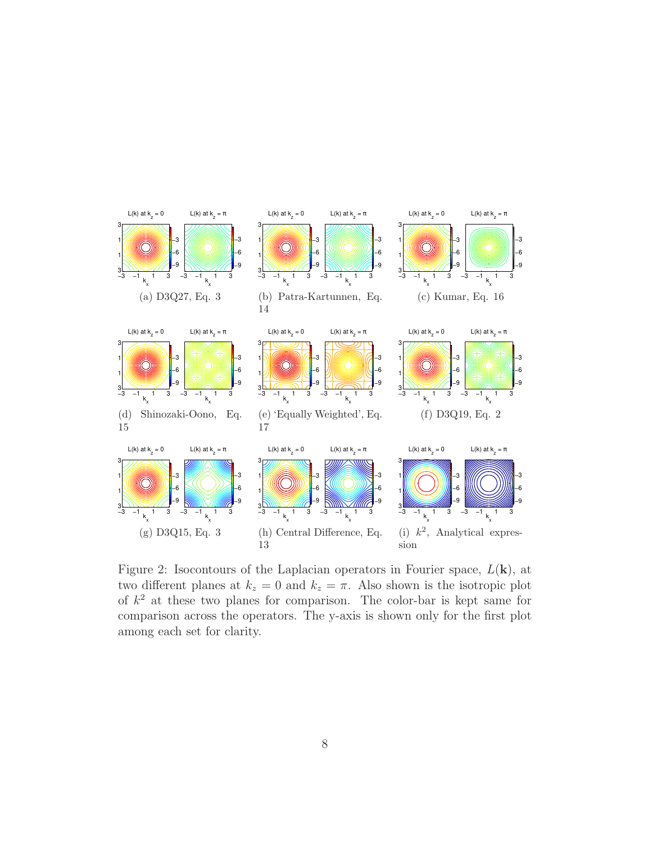

Figure 2: Isocontours of the Laplacian operators in Fourier space,  $L(\mathbf{k})$ , at two different planes at  $k_z = 0$  and  $k_z = \pi$ . Also shown is the isotropic plot of  $k^2$  at these two planes for comparison. The color-bar is kept same for comparison across the operators. The y-axis is shown only for the first plot among each set for clarity.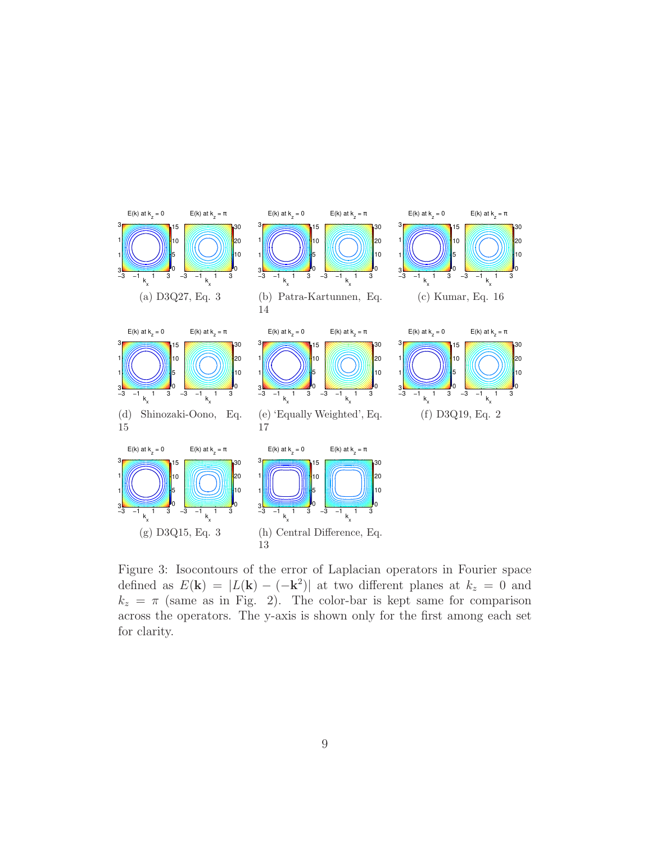

Figure 3: Isocontours of the error of Laplacian operators in Fourier space defined as  $E(\mathbf{k}) = |L(\mathbf{k}) - (-\mathbf{k}^2)|$  at two different planes at  $k_z = 0$  and  $k_z = \pi$  (same as in Fig. 2). The color-bar is kept same for comparison across the operators. The y-axis is shown only for the first among each set for clarity.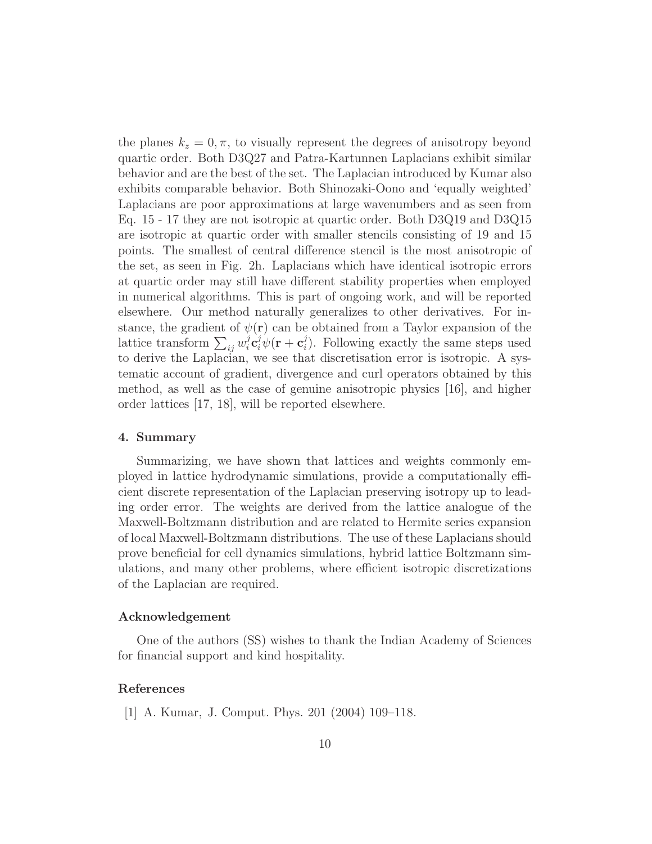the planes  $k_z = 0, \pi$ , to visually represent the degrees of anisotropy beyond quartic order. Both D3Q27 and Patra-Kartunnen Laplacians exhibit similar behavior and are the best of the set. The Laplacian introduced by Kumar also exhibits comparable behavior. Both Shinozaki-Oono and 'equally weighted' Laplacians are poor approximations at large wavenumbers and as seen from Eq. 15 - 17 they are not isotropic at quartic order. Both D3Q19 and D3Q15 are isotropic at quartic order with smaller stencils consisting of 19 and 15 points. The smallest of central difference stencil is the most anisotropic of the set, as seen in Fig. 2h. Laplacians which have identical isotropic errors at quartic order may still have different stability properties when employed in numerical algorithms. This is part of ongoing work, and will be reported elsewhere. Our method naturally generalizes to other derivatives. For instance, the gradient of  $\psi(\mathbf{r})$  can be obtained from a Taylor expansion of the lattice transform  $\sum_{ij} w_i^j$  $i\hspace{0.02in}\mathrm{c}_{i}^{j}\psi(\mathbf{r}+\mathbf{c}_{i}^{j}% \mathbf{r}_{i}^{j})\epsilon_{i}^{j}$  $i$ ). Following exactly the same steps used to derive the Laplacian, we see that discretisation error is isotropic. A systematic account of gradient, divergence and curl operators obtained by this method, as well as the case of genuine anisotropic physics [16], and higher order lattices [17, 18], will be reported elsewhere.

## 4. Summary

Summarizing, we have shown that lattices and weights commonly employed in lattice hydrodynamic simulations, provide a computationally efficient discrete representation of the Laplacian preserving isotropy up to leading order error. The weights are derived from the lattice analogue of the Maxwell-Boltzmann distribution and are related to Hermite series expansion of local Maxwell-Boltzmann distributions. The use of these Laplacians should prove beneficial for cell dynamics simulations, hybrid lattice Boltzmann simulations, and many other problems, where efficient isotropic discretizations of the Laplacian are required.

## Acknowledgement

One of the authors (SS) wishes to thank the Indian Academy of Sciences for financial support and kind hospitality.

## References

[1] A. Kumar, J. Comput. Phys. 201 (2004) 109–118.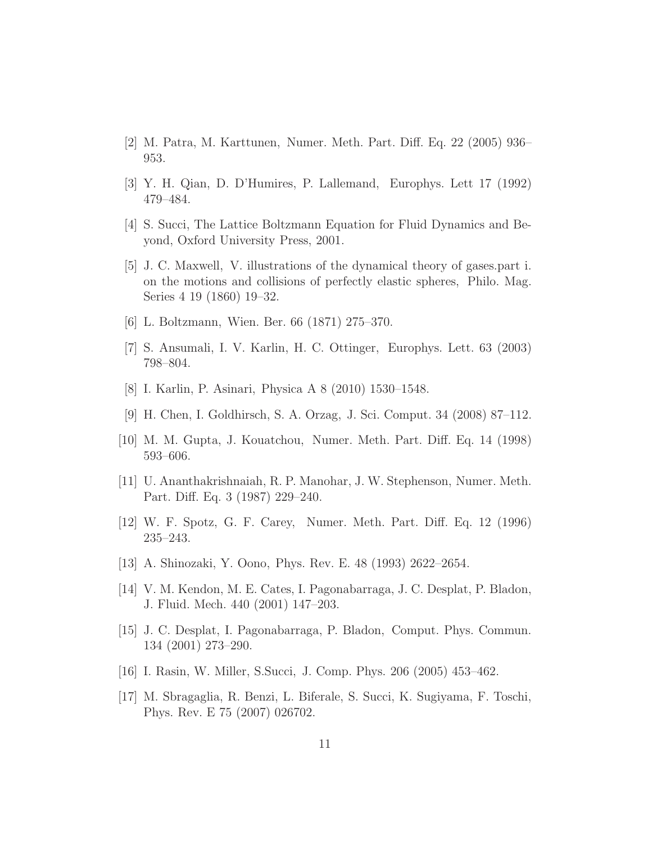- [2] M. Patra, M. Karttunen, Numer. Meth. Part. Diff. Eq. 22 (2005) 936– 953.
- [3] Y. H. Qian, D. D'Humires, P. Lallemand, Europhys. Lett 17 (1992) 479–484.
- [4] S. Succi, The Lattice Boltzmann Equation for Fluid Dynamics and Beyond, Oxford University Press, 2001.
- [5] J. C. Maxwell, V. illustrations of the dynamical theory of gases.part i. on the motions and collisions of perfectly elastic spheres, Philo. Mag. Series 4 19 (1860) 19–32.
- [6] L. Boltzmann, Wien. Ber. 66 (1871) 275–370.
- [7] S. Ansumali, I. V. Karlin, H. C. Ottinger, Europhys. Lett. 63 (2003) 798–804.
- [8] I. Karlin, P. Asinari, Physica A 8 (2010) 1530–1548.
- [9] H. Chen, I. Goldhirsch, S. A. Orzag, J. Sci. Comput. 34 (2008) 87–112.
- [10] M. M. Gupta, J. Kouatchou, Numer. Meth. Part. Diff. Eq. 14 (1998) 593–606.
- [11] U. Ananthakrishnaiah, R. P. Manohar, J. W. Stephenson, Numer. Meth. Part. Diff. Eq. 3 (1987) 229–240.
- [12] W. F. Spotz, G. F. Carey, Numer. Meth. Part. Diff. Eq. 12 (1996) 235–243.
- [13] A. Shinozaki, Y. Oono, Phys. Rev. E. 48 (1993) 2622–2654.
- [14] V. M. Kendon, M. E. Cates, I. Pagonabarraga, J. C. Desplat, P. Bladon, J. Fluid. Mech. 440 (2001) 147–203.
- [15] J. C. Desplat, I. Pagonabarraga, P. Bladon, Comput. Phys. Commun. 134 (2001) 273–290.
- [16] I. Rasin, W. Miller, S.Succi, J. Comp. Phys. 206 (2005) 453–462.
- [17] M. Sbragaglia, R. Benzi, L. Biferale, S. Succi, K. Sugiyama, F. Toschi, Phys. Rev. E 75 (2007) 026702.